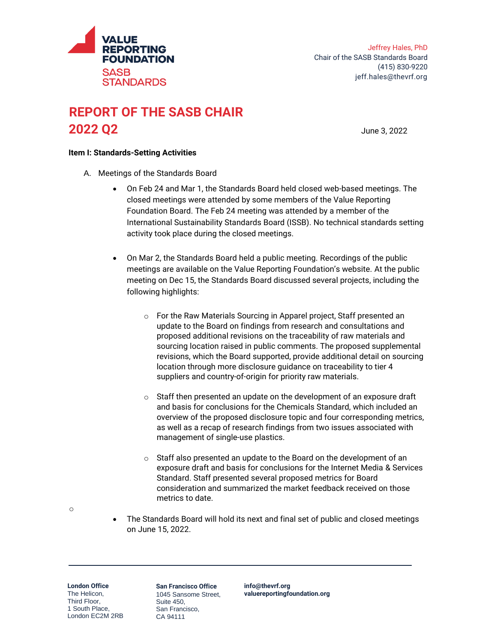

## **REPORT OF THE SASB CHAIR 2022 Q2** June 3, 2022

## **Item I: Standards-Setting Activities**

- A. Meetings of the Standards Board
	- On Feb 24 and Mar 1, the Standards Board held closed web-based meetings. The closed meetings were attended by some members of the Value Reporting Foundation Board. The Feb 24 meeting was attended by a member of the International Sustainability Standards Board (ISSB). No technical standards setting activity took place during the closed meetings.
	- On Mar 2, the Standards Board held a public meeting. Recordings of the public meetings are available on the Value Reporting Foundation's website. At the public meeting on Dec 15, the Standards Board discussed several projects, including the following highlights:
		- o For the Raw Materials Sourcing in Apparel project, Staff presented an update to the Board on findings from research and consultations and proposed additional revisions on the traceability of raw materials and sourcing location raised in public comments. The proposed supplemental revisions, which the Board supported, provide additional detail on sourcing location through more disclosure guidance on traceability to tier 4 suppliers and country-of-origin for priority raw materials.
		- o Staff then presented an update on the development of an exposure draft and basis for conclusions for the Chemicals Standard, which included an overview of the proposed disclosure topic and four corresponding metrics, as well as a recap of research findings from two issues associated with management of single-use plastics.
		- $\circ$  Staff also presented an update to the Board on the development of an exposure draft and basis for conclusions for the Internet Media & Services Standard. Staff presented several proposed metrics for Board consideration and summarized the market feedback received on those metrics to date.

- o
- The Standards Board will hold its next and final set of public and closed meetings on June 15, 2022.

**London Office** The Helicon, Third Floor, 1 South Place, London EC2M 2RB

**San Francisco Office** 1045 Sansome Street, Suite 450, San Francisco, CA 94111

**[info@thevrf.org](mailto:info@thevrf.org) [valuereportingfoundation.org](http://www.valuereportingfoundation.org/)**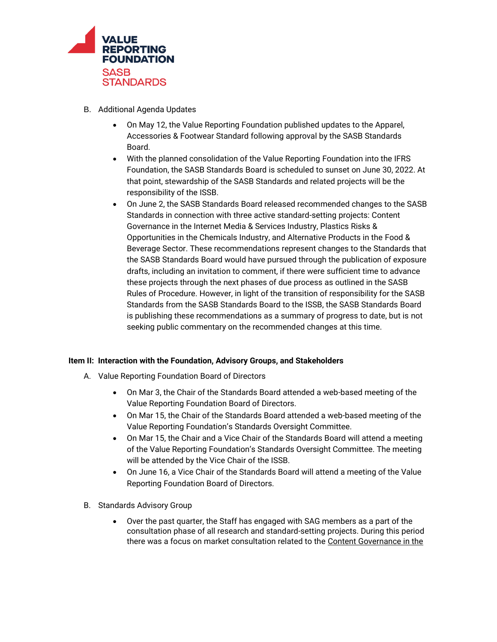

- B. Additional Agenda Updates
	- On May 12, the Value Reporting Foundation published updates to the Apparel, Accessories & Footwear Standard following approval by the SASB Standards Board.
	- With the planned consolidation of the Value Reporting Foundation into the IFRS Foundation, the SASB Standards Board is scheduled to sunset on June 30, 2022. At that point, stewardship of the SASB Standards and related projects will be the responsibility of the ISSB.
	- On June 2, the SASB Standards Board released recommended changes to the SASB Standards in connection with three active standard-setting projects: Content Governance in the Internet Media & Services Industry, Plastics Risks & Opportunities in the Chemicals Industry, and Alternative Products in the Food & Beverage Sector. These recommendations represent changes to the Standards that the SASB Standards Board would have pursued through the publication of exposure drafts, including an invitation to comment, if there were sufficient time to advance these projects through the next phases of due process as outlined in the SASB Rules of Procedure. However, in light of the transition of responsibility for the SASB Standards from the SASB Standards Board to the ISSB, the SASB Standards Board is publishing these recommendations as a summary of progress to date, but is not seeking public commentary on the recommended changes at this time.

## **Item II: Interaction with the Foundation, Advisory Groups, and Stakeholders**

- A. Value Reporting Foundation Board of Directors
	- On Mar 3, the Chair of the Standards Board attended a web-based meeting of the Value Reporting Foundation Board of Directors.
	- On Mar 15, the Chair of the Standards Board attended a web-based meeting of the Value Reporting Foundation's Standards Oversight Committee.
	- On Mar 15, the Chair and a Vice Chair of the Standards Board will attend a meeting of the Value Reporting Foundation's Standards Oversight Committee. The meeting will be attended by the Vice Chair of the ISSB.
	- On June 16, a Vice Chair of the Standards Board will attend a meeting of the Value Reporting Foundation Board of Directors.
- B. Standards Advisory Group
	- Over the past quarter, the Staff has engaged with SAG members as a part of the consultation phase of all research and standard-setting projects. During this period there was a focus on market consultation related to the [Content Governance in the](https://www.sasb.org/standards/process/active-projects/content-governance-in-the-internet-media-and-services-industry/)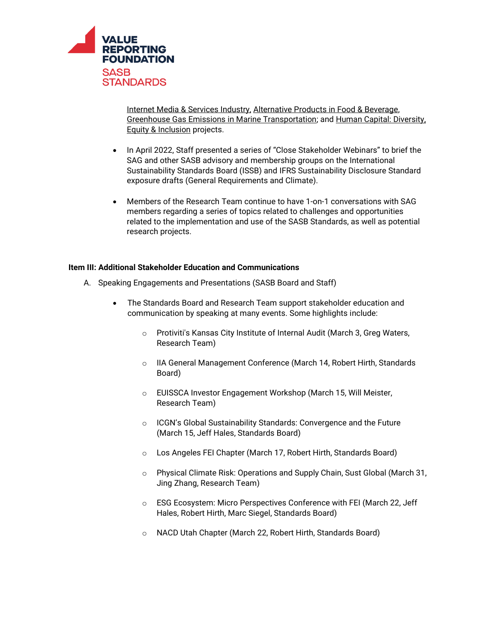

[Internet Media & Services Industry,](https://www.sasb.org/standards/process/active-projects/content-governance-in-the-internet-media-and-services-industry/) [Alternative Products in Food & Beverage,](https://www.sasb.org/standards/process/active-projects/alternative-products-in-food-beverage/)  [Greenhouse Gas Emissions in Marine Transportation;](https://www.sasb.org/standards/process/active-projects/greenhouse-gas-emissions-in-marine-transportation/) and [Human Capital: Diversity,](https://www.sasb.org/standards/process/active-projects/human-capital-diversity-equity-inclusion/)  [Equity & Inclusion](https://www.sasb.org/standards/process/active-projects/human-capital-diversity-equity-inclusion/) projects.

- In April 2022, Staff presented a series of "Close Stakeholder Webinars" to brief the SAG and other SASB advisory and membership groups on the International Sustainability Standards Board (ISSB) and IFRS Sustainability Disclosure Standard exposure drafts (General Requirements and Climate).
- Members of the Research Team continue to have 1-on-1 conversations with SAG members regarding a series of topics related to challenges and opportunities related to the implementation and use of the SASB Standards, as well as potential research projects.

## **Item III: Additional Stakeholder Education and Communications**

- A. Speaking Engagements and Presentations (SASB Board and Staff)
	- The Standards Board and Research Team support stakeholder education and communication by speaking at many events. Some highlights include:
		- o Protiviti's Kansas City Institute of Internal Audit (March 3, Greg Waters, Research Team)
		- o IIA General Management Conference (March 14, Robert Hirth, Standards Board)
		- o EUISSCA Investor Engagement Workshop (March 15, Will Meister, Research Team)
		- o ICGN's Global Sustainability Standards: Convergence and the Future (March 15, Jeff Hales, Standards Board)
		- o Los Angeles FEI Chapter (March 17, Robert Hirth, Standards Board)
		- o Physical Climate Risk: Operations and Supply Chain, Sust Global (March 31, Jing Zhang, Research Team)
		- o ESG Ecosystem: Micro Perspectives Conference with FEI (March 22, Jeff Hales, Robert Hirth, Marc Siegel, Standards Board)
		- o NACD Utah Chapter (March 22, Robert Hirth, Standards Board)